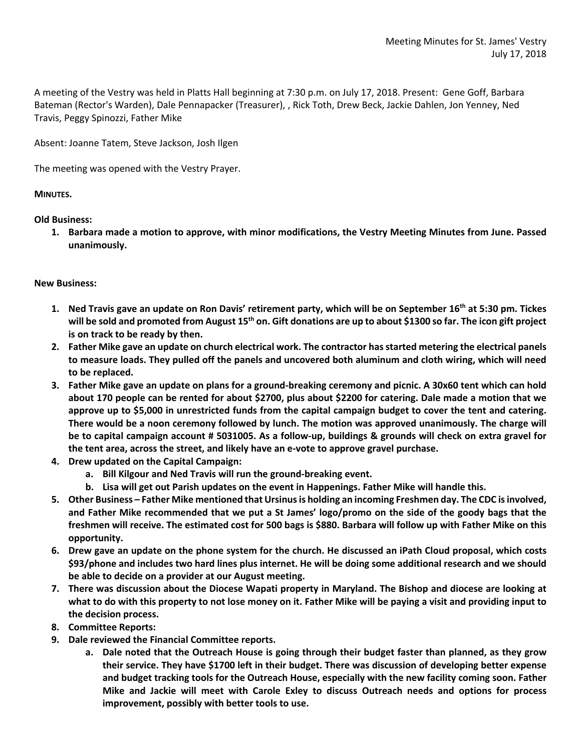A meeting of the Vestry was held in Platts Hall beginning at 7:30 p.m. on July 17, 2018. Present: Gene Goff, Barbara Bateman (Rector's Warden), Dale Pennapacker (Treasurer), , Rick Toth, Drew Beck, Jackie Dahlen, Jon Yenney, Ned Travis, Peggy Spinozzi, Father Mike

Absent: Joanne Tatem, Steve Jackson, Josh Ilgen

The meeting was opened with the Vestry Prayer.

## **MINUTES.**

**Old Business:**

**1. Barbara made a motion to approve, with minor modifications, the Vestry Meeting Minutes from June. Passed unanimously.**

## **New Business:**

- **1. Ned Travis gave an update on Ron Davis' retirement party, which will be on September 16th at 5:30 pm. Tickes will be sold and promoted from August 15th on. Gift donations are up to about \$1300 so far. The icon gift project is on track to be ready by then.**
- **2. Father Mike gave an update on church electrical work. The contractor has started metering the electrical panels to measure loads. They pulled off the panels and uncovered both aluminum and cloth wiring, which will need to be replaced.**
- **3. Father Mike gave an update on plans for a ground-breaking ceremony and picnic. A 30x60 tent which can hold about 170 people can be rented for about \$2700, plus about \$2200 for catering. Dale made a motion that we approve up to \$5,000 in unrestricted funds from the capital campaign budget to cover the tent and catering. There would be a noon ceremony followed by lunch. The motion was approved unanimously. The charge will be to capital campaign account # 5031005. As a follow-up, buildings & grounds will check on extra gravel for the tent area, across the street, and likely have an e-vote to approve gravel purchase.**
- **4. Drew updated on the Capital Campaign:**
	- **a. Bill Kilgour and Ned Travis will run the ground-breaking event.**
	- **b. Lisa will get out Parish updates on the event in Happenings. Father Mike will handle this.**
- **5. Other Business – Father Mike mentioned that Ursinusis holding an incoming Freshmen day. The CDC is involved, and Father Mike recommended that we put a St James' logo/promo on the side of the goody bags that the freshmen will receive. The estimated cost for 500 bags is \$880. Barbara will follow up with Father Mike on this opportunity.**
- **6. Drew gave an update on the phone system for the church. He discussed an iPath Cloud proposal, which costs \$93/phone and includes two hard lines plus internet. He will be doing some additional research and we should be able to decide on a provider at our August meeting.**
- **7. There was discussion about the Diocese Wapati property in Maryland. The Bishop and diocese are looking at what to do with this property to not lose money on it. Father Mike will be paying a visit and providing input to the decision process.**
- **8. Committee Reports:**
- **9. Dale reviewed the Financial Committee reports.**
	- **a. Dale noted that the Outreach House is going through their budget faster than planned, as they grow their service. They have \$1700 left in their budget. There was discussion of developing better expense and budget tracking tools for the Outreach House, especially with the new facility coming soon. Father Mike and Jackie will meet with Carole Exley to discuss Outreach needs and options for process improvement, possibly with better tools to use.**